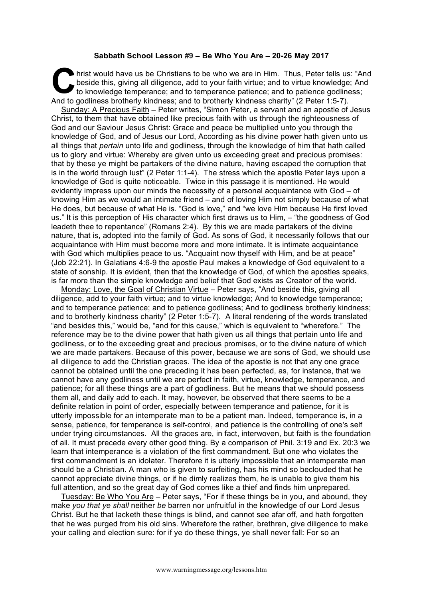## **Sabbath School Lesson #9 – Be Who You Are – 20-26 May 2017**

hrist would have us be Christians to be who we are in Him. Thus, Peter tells us: "And beside this, giving all diligence, add to your faith virtue; and to virtue knowledge; And to knowledge temperance; and to temperance patience; and to patience godliness; And to godliness brotherly kindness; and to brotherly kindness charity" (2 Peter 1:5-7). **C** hris

Sunday: A Precious Faith – Peter writes, "Simon Peter, a servant and an apostle of Jesus Christ, to them that have obtained like precious faith with us through the righteousness of God and our Saviour Jesus Christ: Grace and peace be multiplied unto you through the knowledge of God, and of Jesus our Lord, According as his divine power hath given unto us all things that *pertain* unto life and godliness, through the knowledge of him that hath called us to glory and virtue: Whereby are given unto us exceeding great and precious promises: that by these ye might be partakers of the divine nature, having escaped the corruption that is in the world through lust" (2 Peter 1:1-4). The stress which the apostle Peter lays upon a knowledge of God is quite noticeable. Twice in this passage it is mentioned. He would evidently impress upon our minds the necessity of a personal acquaintance with God – of knowing Him as we would an intimate friend – and of loving Him not simply because of what He does, but because of what He is. "God is love," and "we love Him because He first loved us." It is this perception of His character which first draws us to Him, – "the goodness of God leadeth thee to repentance" (Romans 2:4). By this we are made partakers of the divine nature, that is, adopted into the family of God. As sons of God, it necessarily follows that our acquaintance with Him must become more and more intimate. It is intimate acquaintance with God which multiplies peace to us. "Acquaint now thyself with Him, and be at peace" (Job 22:21). In Galatians 4:6-9 the apostle Paul makes a knowledge of God equivalent to a state of sonship. It is evident, then that the knowledge of God, of which the apostles speaks, is far more than the simple knowledge and belief that God exists as Creator of the world.

Monday: Love, the Goal of Christian Virtue – Peter says, "And beside this, giving all diligence, add to your faith virtue; and to virtue knowledge; And to knowledge temperance; and to temperance patience; and to patience godliness; And to godliness brotherly kindness; and to brotherly kindness charity" (2 Peter 1:5-7). A literal rendering of the words translated "and besides this," would be, "and for this cause," which is equivalent to "wherefore." The reference may be to the divine power that hath given us all things that pertain unto life and godliness, or to the exceeding great and precious promises, or to the divine nature of which we are made partakers. Because of this power, because we are sons of God, we should use all diligence to add the Christian graces. The idea of the apostle is not that any one grace cannot be obtained until the one preceding it has been perfected, as, for instance, that we cannot have any godliness until we are perfect in faith, virtue, knowledge, temperance, and patience; for all these things are a part of godliness. But he means that we should possess them all, and daily add to each. It may, however, be observed that there seems to be a definite relation in point of order, especially between temperance and patience, for it is utterly impossible for an intemperate man to be a patient man. Indeed, temperance is, in a sense, patience, for temperance is self-control, and patience is the controlling of one's self under trying circumstances. All the graces are, in fact, interwoven, but faith is the foundation of all. It must precede every other good thing. By a comparison of Phil. 3:19 and Ex. 20:3 we learn that intemperance is a violation of the first commandment. But one who violates the first commandment is an idolater. Therefore it is utterly impossible that an intemperate man should be a Christian. A man who is given to surfeiting, has his mind so beclouded that he cannot appreciate divine things, or if he dimly realizes them, he is unable to give them his full attention, and so the great day of God comes like a thief and finds him unprepared.

Tuesday: Be Who You Are – Peter says, "For if these things be in you, and abound, they make *you that ye shall* neither *be* barren nor unfruitful in the knowledge of our Lord Jesus Christ. But he that lacketh these things is blind, and cannot see afar off, and hath forgotten that he was purged from his old sins. Wherefore the rather, brethren, give diligence to make your calling and election sure: for if ye do these things, ye shall never fall: For so an